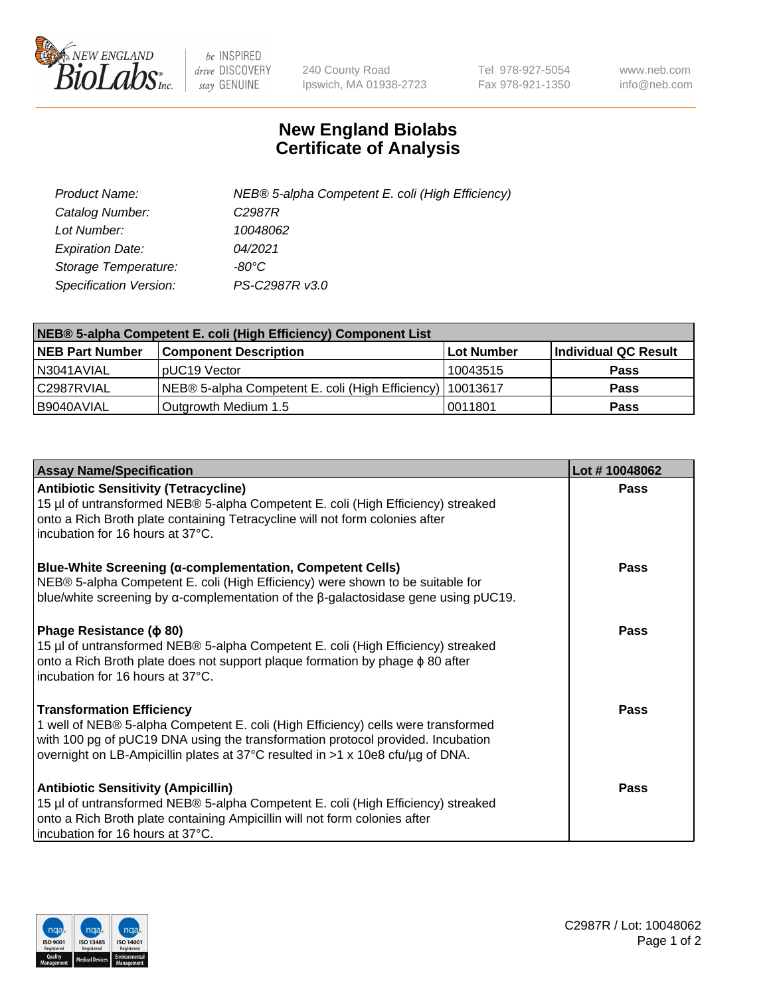

 $be$  INSPIRED drive DISCOVERY stay GENUINE

240 County Road Ipswich, MA 01938-2723 Tel 978-927-5054 Fax 978-921-1350 www.neb.com info@neb.com

## **New England Biolabs Certificate of Analysis**

| Product Name:           | NEB® 5-alpha Competent E. coli (High Efficiency) |
|-------------------------|--------------------------------------------------|
| Catalog Number:         | C <sub>2987</sub> R                              |
| Lot Number:             | 10048062                                         |
| <b>Expiration Date:</b> | 04/2021                                          |
| Storage Temperature:    | -80°C                                            |
| Specification Version:  | PS-C2987R v3.0                                   |

| NEB® 5-alpha Competent E. coli (High Efficiency) Component List |                                                             |            |                      |  |
|-----------------------------------------------------------------|-------------------------------------------------------------|------------|----------------------|--|
| <b>NEB Part Number</b>                                          | <b>Component Description</b>                                | Lot Number | Individual QC Result |  |
| N3041AVIAL                                                      | IpUC19 Vector                                               | 10043515   | <b>Pass</b>          |  |
| C2987RVIAL                                                      | NEB® 5-alpha Competent E. coli (High Efficiency)   10013617 |            | <b>Pass</b>          |  |
| B9040AVIAL                                                      | Outgrowth Medium 1.5                                        | 0011801    | <b>Pass</b>          |  |

| <b>Assay Name/Specification</b>                                                                                                                                                                                                                                                            | Lot #10048062 |
|--------------------------------------------------------------------------------------------------------------------------------------------------------------------------------------------------------------------------------------------------------------------------------------------|---------------|
| <b>Antibiotic Sensitivity (Tetracycline)</b><br>15 µl of untransformed NEB® 5-alpha Competent E. coli (High Efficiency) streaked<br>onto a Rich Broth plate containing Tetracycline will not form colonies after<br>incubation for 16 hours at 37°C.                                       | <b>Pass</b>   |
| <b>Blue-White Screening (α-complementation, Competent Cells)</b><br>NEB® 5-alpha Competent E. coli (High Efficiency) were shown to be suitable for<br>blue/white screening by $\alpha$ -complementation of the $\beta$ -galactosidase gene using pUC19.                                    | Pass          |
| Phage Resistance ( $\phi$ 80)<br>15 µl of untransformed NEB® 5-alpha Competent E. coli (High Efficiency) streaked<br>onto a Rich Broth plate does not support plaque formation by phage φ 80 after<br>Incubation for 16 hours at 37°C.                                                     | <b>Pass</b>   |
| <b>Transformation Efficiency</b><br>1 well of NEB® 5-alpha Competent E. coli (High Efficiency) cells were transformed<br>with 100 pg of pUC19 DNA using the transformation protocol provided. Incubation<br>overnight on LB-Ampicillin plates at 37°C resulted in >1 x 10e8 cfu/µg of DNA. | Pass          |
| <b>Antibiotic Sensitivity (Ampicillin)</b><br>15 µl of untransformed NEB® 5-alpha Competent E. coli (High Efficiency) streaked<br>onto a Rich Broth plate containing Ampicillin will not form colonies after<br>incubation for 16 hours at 37°C.                                           | <b>Pass</b>   |